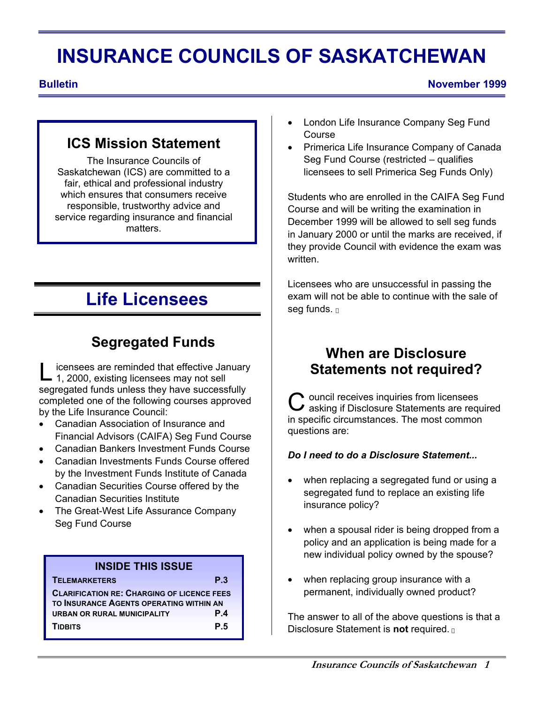# **INSURANCE COUNCILS OF SASKATCHEWAN**

#### **Bulletin** November 1999

### **ICS Mission Statement**

The Insurance Councils of Saskatchewan (ICS) are committed to a fair, ethical and professional industry which ensures that consumers receive responsible, trustworthy advice and service regarding insurance and financial matters.

# **Life Licensees**

## **Segregated Funds**

icensees are reminded that effective January L icensees are reminded that effective Jan<br>1, 2000, existing licensees may not sell segregated funds unless they have successfully completed one of the following courses approved by the Life Insurance Council:

- Canadian Association of Insurance and Financial Advisors (CAIFA) Seg Fund Course
- Canadian Bankers Investment Funds Course
- Canadian Investments Funds Course offered by the Investment Funds Institute of Canada
- Canadian Securities Course offered by the Canadian Securities Institute
- The Great-West Life Assurance Company Seg Fund Course

#### **INSIDE THIS ISSUE**

**TELEMARKETERS P.3** 

**CLARIFICATION RE: CHARGING OF LICENCE FEES TO INSURANCE AGENTS OPERATING WITHIN AN URBAN OR RURAL MUNICIPALITY P.4 TIDBITS P.5** 

- London Life Insurance Company Seg Fund Course
- Primerica Life Insurance Company of Canada Seg Fund Course (restricted – qualifies licensees to sell Primerica Seg Funds Only)

Students who are enrolled in the CAIFA Seg Fund Course and will be writing the examination in December 1999 will be allowed to sell seg funds in January 2000 or until the marks are received, if they provide Council with evidence the exam was written.

Licensees who are unsuccessful in passing the exam will not be able to continue with the sale of seg funds.

### **When are Disclosure Statements not required?**

ouncil receives inquiries from licensees **C** ouncil receives inquiries from licensees<br> **C** asking if Disclosure Statements are required in specific circumstances. The most common questions are:

#### *Do I need to do a Disclosure Statement...*

- when replacing a segregated fund or using a segregated fund to replace an existing life insurance policy?
- when a spousal rider is being dropped from a policy and an application is being made for a new individual policy owned by the spouse?
- when replacing group insurance with a permanent, individually owned product?

The answer to all of the above questions is that a Disclosure Statement is **not** required.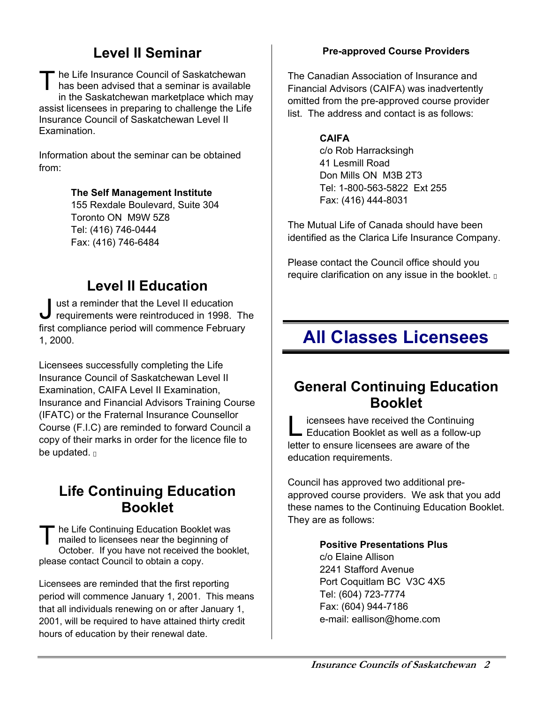### **Level II Seminar**

he Life Insurance Council of Saskatchewan has been advised that a seminar is available in the Saskatchewan marketplace which may assist licensees in preparing to challenge the Life Insurance Council of Saskatchewan Level II Examination.  $T_{h}^{h}$ 

Information about the seminar can be obtained from:

#### **The Self Management Institute**

155 Rexdale Boulevard, Suite 304 Toronto ON M9W 5Z8 Tel: (416) 746-0444 Fax: (416) 746-6484

### **Level II Education**

ust a reminder that the Level II education **J** ust a reminder that the Level II education<br>requirements were reintroduced in 1998. The first compliance period will commence February 1, 2000.

Licensees successfully completing the Life Insurance Council of Saskatchewan Level II Examination, CAIFA Level II Examination, Insurance and Financial Advisors Training Course (IFATC) or the Fraternal Insurance Counsellor Course (F.I.C) are reminded to forward Council a copy of their marks in order for the licence file to be updated.

### **Life Continuing Education Booklet**

he Life Continuing Education Booklet was mailed to licensees near the beginning of October. If you have not received the booklet, please contact Council to obtain a copy.  $T_{\frac{n}{2}}^{\frac{n}{2}}$ 

Licensees are reminded that the first reporting period will commence January 1, 2001. This means that all individuals renewing on or after January 1, 2001, will be required to have attained thirty credit hours of education by their renewal date.

#### **Pre-approved Course Providers**

The Canadian Association of Insurance and Financial Advisors (CAIFA) was inadvertently omitted from the pre-approved course provider list. The address and contact is as follows:

#### **CAIFA**

c/o Rob Harracksingh 41 Lesmill Road Don Mills ON M3B 2T3 Tel: 1-800-563-5822 Ext 255 Fax: (416) 444-8031

The Mutual Life of Canada should have been identified as the Clarica Life Insurance Company.

Please contact the Council office should you require clarification on any issue in the booklet.

# **All Classes Licensees**

### **General Continuing Education Booklet**

icensees have received the Continuing Licensees have received the Continuing<br>
Education Booklet as well as a follow-up letter to ensure licensees are aware of the education requirements.

Council has approved two additional preapproved course providers. We ask that you add these names to the Continuing Education Booklet. They are as follows:

#### **Positive Presentations Plus**

c/o Elaine Allison 2241 Stafford Avenue Port Coquitlam BC V3C 4X5 Tel: (604) 723-7774 Fax: (604) 944-7186 e-mail: eallison@home.com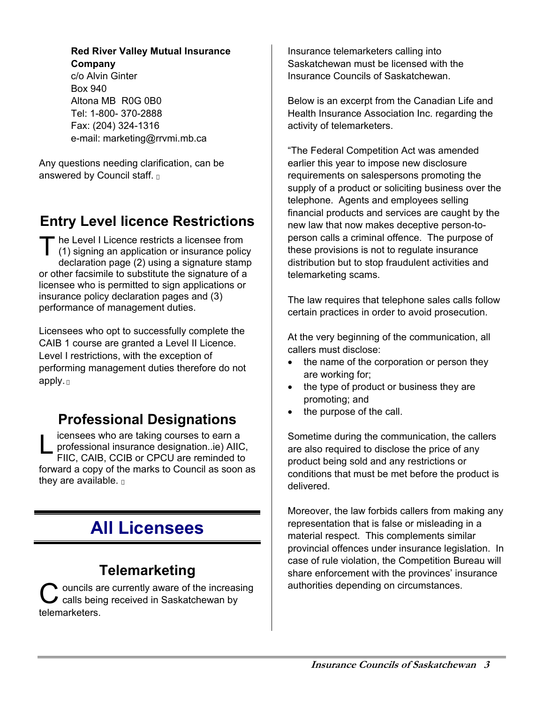#### **Red River Valley Mutual Insurance Company**

c/o Alvin Ginter Box 940 Altona MB R0G 0B0 Tel: 1-800- 370-2888 Fax: (204) 324-1316 e-mail: marketing@rrvmi.mb.ca

Any questions needing clarification, can be answered by Council staff.

## **Entry Level licence Restrictions**

The Level I Licence restricts a licensee from<br>
(1) signing an application or insurance polic (1) signing an application or insurance policy declaration page (2) using a signature stamp or other facsimile to substitute the signature of a licensee who is permitted to sign applications or insurance policy declaration pages and (3) performance of management duties.

Licensees who opt to successfully complete the CAIB 1 course are granted a Level II Licence. Level I restrictions, with the exception of performing management duties therefore do not apply.

### **Professional Designations**

icensees who are taking courses to earn a **Letter insurance designation..ie)**<br>
professional insurance designation..ie) AIIC,<br>
FIIC, CAIB, CCIB or CPCU are reminded to FIIC, CAIB, CCIB or CPCU are reminded to forward a copy of the marks to Council as soon as they are available.

# **All Licensees**

### **Telemarketing**

**Ouncils are currently aware of the increasing**  $\mathbf C$  ouncils are currently aware of the increas<br>  $\mathbf C$  calls being received in Saskatchewan by telemarketers.

Insurance telemarketers calling into Saskatchewan must be licensed with the Insurance Councils of Saskatchewan.

Below is an excerpt from the Canadian Life and Health Insurance Association Inc. regarding the activity of telemarketers.

"The Federal Competition Act was amended earlier this year to impose new disclosure requirements on salespersons promoting the supply of a product or soliciting business over the telephone. Agents and employees selling financial products and services are caught by the new law that now makes deceptive person-toperson calls a criminal offence. The purpose of these provisions is not to regulate insurance distribution but to stop fraudulent activities and telemarketing scams.

The law requires that telephone sales calls follow certain practices in order to avoid prosecution.

At the very beginning of the communication, all callers must disclose:

- the name of the corporation or person they are working for;
- the type of product or business they are promoting; and
- the purpose of the call.

Sometime during the communication, the callers are also required to disclose the price of any product being sold and any restrictions or conditions that must be met before the product is delivered.

Moreover, the law forbids callers from making any representation that is false or misleading in a material respect. This complements similar provincial offences under insurance legislation. In case of rule violation, the Competition Bureau will share enforcement with the provinces' insurance authorities depending on circumstances.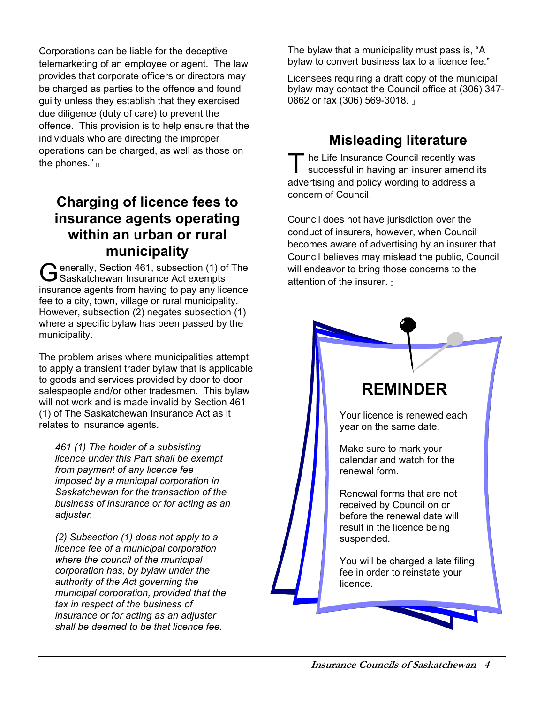Corporations can be liable for the deceptive telemarketing of an employee or agent. The law provides that corporate officers or directors may be charged as parties to the offence and found guilty unless they establish that they exercised due diligence (duty of care) to prevent the offence. This provision is to help ensure that the individuals who are directing the improper operations can be charged, as well as those on the phones."

### **Charging of licence fees to insurance agents operating within an urban or rural municipality**

enerally, Section 461, subsection (1) of The G enerally, Section 461, subsection (1) of<br>
Saskatchewan Insurance Act exempts insurance agents from having to pay any licence fee to a city, town, village or rural municipality. However, subsection (2) negates subsection (1) where a specific bylaw has been passed by the municipality.

The problem arises where municipalities attempt to apply a transient trader bylaw that is applicable to goods and services provided by door to door salespeople and/or other tradesmen. This bylaw will not work and is made invalid by Section 461 (1) of The Saskatchewan Insurance Act as it relates to insurance agents.

*461 (1) The holder of a subsisting licence under this Part shall be exempt from payment of any licence fee imposed by a municipal corporation in Saskatchewan for the transaction of the business of insurance or for acting as an adjuster.* 

*(2) Subsection (1) does not apply to a licence fee of a municipal corporation where the council of the municipal corporation has, by bylaw under the authority of the Act governing the municipal corporation, provided that the tax in respect of the business of insurance or for acting as an adjuster shall be deemed to be that licence fee.* 

The bylaw that a municipality must pass is, "A bylaw to convert business tax to a licence fee."

Licensees requiring a draft copy of the municipal bylaw may contact the Council office at (306) 347- 0862 or fax (306) 569-3018.

### **Misleading literature**

<sup>t</sup> he Life Insurance Council recently was successful in having an insurer amend its advertising and policy wording to address a concern of Council. T

Council does not have jurisdiction over the conduct of insurers, however, when Council becomes aware of advertising by an insurer that Council believes may mislead the public, Council will endeavor to bring those concerns to the attention of the insurer.

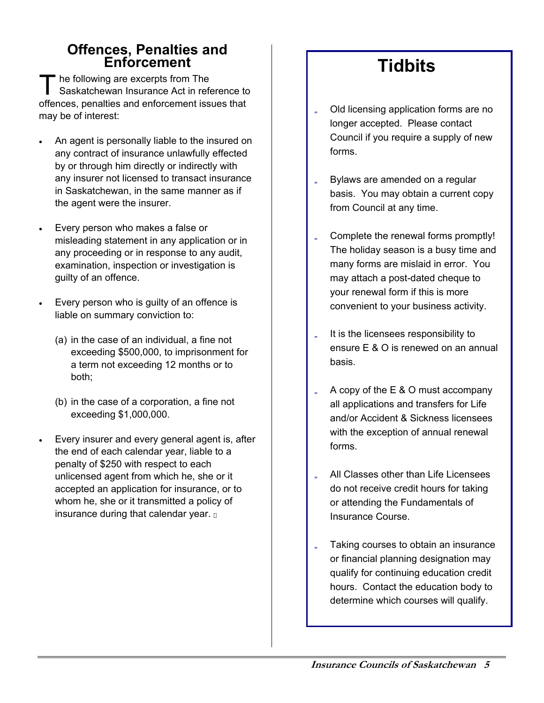# **Offences, Penalties and Enforcement**

he following are excerpts from The Saskatchewan Insurance Act in reference to The following are excerpts from The<br>
Saskatchewan Insurance Act in reference to<br>
offences, penalties and enforcement issues that<br> **The Solution of interest:** may be of interest:

- An agent is personally liable to the insured on any contract of insurance unlawfully effected by or through him directly or indirectly with any insurer not licensed to transact insurance in Saskatchewan, in the same manner as if the agent were the insurer.
- Every person who makes a false or misleading statement in any application or in any proceeding or in response to any audit, examination, inspection or investigation is guilty of an offence.
- Every person who is guilty of an offence is liable on summary conviction to:
	- (a) in the case of an individual, a fine not exceeding \$500,000, to imprisonment for a term not exceeding 12 months or to both;
	- (b) in the case of a corporation, a fine not exceeding \$1,000,000.
- Every insurer and every general agent is, after the end of each calendar year, liable to a penalty of \$250 with respect to each unlicensed agent from which he, she or it accepted an application for insurance, or to whom he, she or it transmitted a policy of insurance during that calendar year.

# **Tidbits**

- Old licensing application forms are no longer accepted. Please contact Council if you require a supply of new forms.
- Bylaws are amended on a regular basis. You may obtain a current copy from Council at any time.
- Complete the renewal forms promptly! The holiday season is a busy time and many forms are mislaid in error. You may attach a post-dated cheque to your renewal form if this is more convenient to your business activity.
- It is the licensees responsibility to ensure E & O is renewed on an annual basis.
- A copy of the E & O must accompany all applications and transfers for Life and/or Accident & Sickness licensees with the exception of annual renewal forms.
- All Classes other than Life Licensees do not receive credit hours for taking or attending the Fundamentals of Insurance Course.
- Taking courses to obtain an insurance or financial planning designation may qualify for continuing education credit hours. Contact the education body to determine which courses will qualify.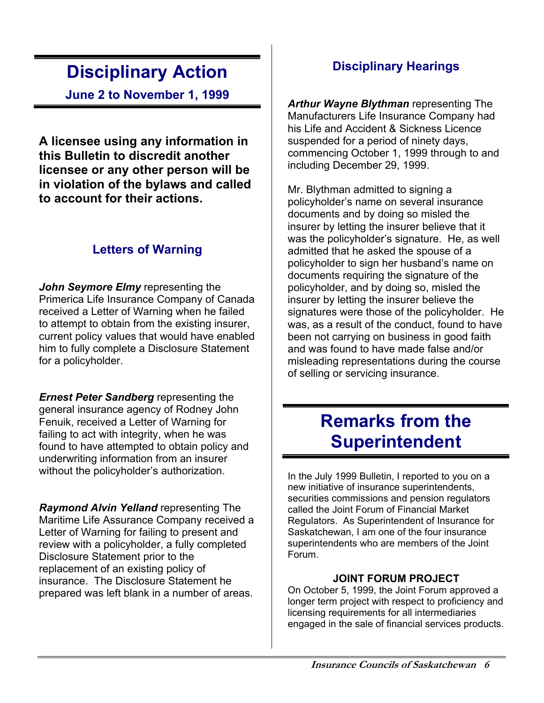# **Disciplinary Action**

**June 2 to November 1, 1999**

**A licensee using any information in this Bulletin to discredit another licensee or any other person will be in violation of the bylaws and called to account for their actions.**

### **Letters of Warning**

*John Seymore Elmy* representing the Primerica Life Insurance Company of Canada received a Letter of Warning when he failed to attempt to obtain from the existing insurer, current policy values that would have enabled him to fully complete a Disclosure Statement for a policyholder.

*Ernest Peter Sandberg* representing the general insurance agency of Rodney John Fenuik, received a Letter of Warning for failing to act with integrity, when he was found to have attempted to obtain policy and underwriting information from an insurer without the policyholder's authorization.

*Raymond Alvin Yelland* representing The Maritime Life Assurance Company received a Letter of Warning for failing to present and review with a policyholder, a fully completed Disclosure Statement prior to the replacement of an existing policy of insurance. The Disclosure Statement he prepared was left blank in a number of areas.

### **Disciplinary Hearings**

*Arthur Wayne Blythman* representing The Manufacturers Life Insurance Company had his Life and Accident & Sickness Licence suspended for a period of ninety days, commencing October 1, 1999 through to and including December 29, 1999.

Mr. Blythman admitted to signing a policyholder's name on several insurance documents and by doing so misled the insurer by letting the insurer believe that it was the policyholder's signature. He, as well admitted that he asked the spouse of a policyholder to sign her husband's name on documents requiring the signature of the policyholder, and by doing so, misled the insurer by letting the insurer believe the signatures were those of the policyholder. He was, as a result of the conduct, found to have been not carrying on business in good faith and was found to have made false and/or misleading representations during the course of selling or servicing insurance.

# **Remarks from the Superintendent**

In the July 1999 Bulletin, I reported to you on a new initiative of insurance superintendents, securities commissions and pension regulators called the Joint Forum of Financial Market Regulators. As Superintendent of Insurance for Saskatchewan, I am one of the four insurance superintendents who are members of the Joint Forum.

#### **JOINT FORUM PROJECT**

On October 5, 1999, the Joint Forum approved a longer term project with respect to proficiency and licensing requirements for all intermediaries engaged in the sale of financial services products.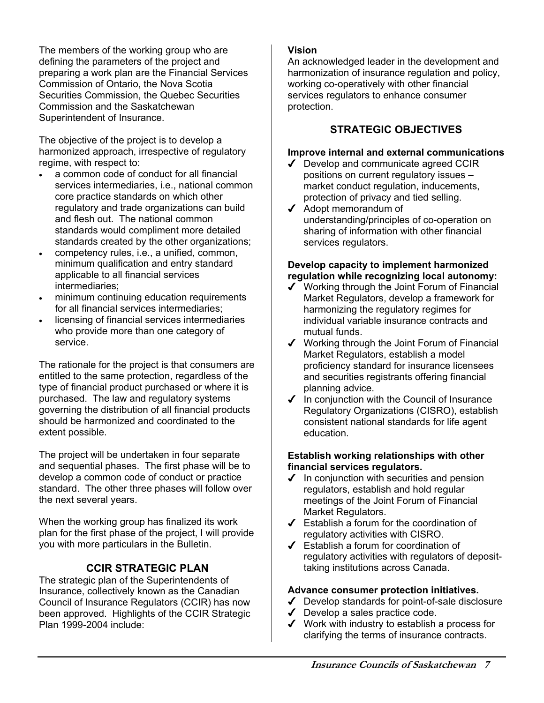The members of the working group who are defining the parameters of the project and preparing a work plan are the Financial Services Commission of Ontario, the Nova Scotia Securities Commission, the Quebec Securities Commission and the Saskatchewan Superintendent of Insurance.

The objective of the project is to develop a harmonized approach, irrespective of regulatory regime, with respect to:

- a common code of conduct for all financial services intermediaries, i.e., national common core practice standards on which other regulatory and trade organizations can build and flesh out. The national common standards would compliment more detailed standards created by the other organizations;
- competency rules, i.e., a unified, common, minimum qualification and entry standard applicable to all financial services intermediaries;
- minimum continuing education requirements for all financial services intermediaries;
- licensing of financial services intermediaries who provide more than one category of service.

The rationale for the project is that consumers are entitled to the same protection, regardless of the type of financial product purchased or where it is purchased. The law and regulatory systems governing the distribution of all financial products should be harmonized and coordinated to the extent possible.

The project will be undertaken in four separate and sequential phases. The first phase will be to develop a common code of conduct or practice standard. The other three phases will follow over the next several years.

When the working group has finalized its work plan for the first phase of the project, I will provide you with more particulars in the Bulletin.

#### **CCIR STRATEGIC PLAN**

The strategic plan of the Superintendents of Insurance, collectively known as the Canadian Council of Insurance Regulators (CCIR) has now been approved. Highlights of the CCIR Strategic Plan 1999-2004 include:

#### **Vision**

An acknowledged leader in the development and harmonization of insurance regulation and policy, working co-operatively with other financial services regulators to enhance consumer protection.

#### **STRATEGIC OBJECTIVES**

#### **Improve internal and external communications**

- $\sqrt{\phantom{a}}$  Develop and communicate agreed CCIR positions on current regulatory issues – market conduct regulation, inducements, protection of privacy and tied selling.
- ◆ Adopt memorandum of understanding/principles of co-operation on sharing of information with other financial services regulators.

#### **Develop capacity to implement harmonized regulation while recognizing local autonomy:**

- ◆ Working through the Joint Forum of Financial Market Regulators, develop a framework for harmonizing the regulatory regimes for individual variable insurance contracts and mutual funds.
- $\checkmark$  Working through the Joint Forum of Financial Market Regulators, establish a model proficiency standard for insurance licensees and securities registrants offering financial planning advice.
- $\checkmark$  In conjunction with the Council of Insurance Regulatory Organizations (CISRO), establish consistent national standards for life agent education.

#### **Establish working relationships with other financial services regulators.**

- $\checkmark$  In conjunction with securities and pension regulators, establish and hold regular meetings of the Joint Forum of Financial Market Regulators.
- Establish a forum for the coordination of regulatory activities with CISRO.
- Establish a forum for coordination of regulatory activities with regulators of deposittaking institutions across Canada.

#### **Advance consumer protection initiatives.**

- Develop standards for point-of-sale disclosure
- $\triangleleft$  Develop a sales practice code.
- Work with industry to establish a process for clarifying the terms of insurance contracts.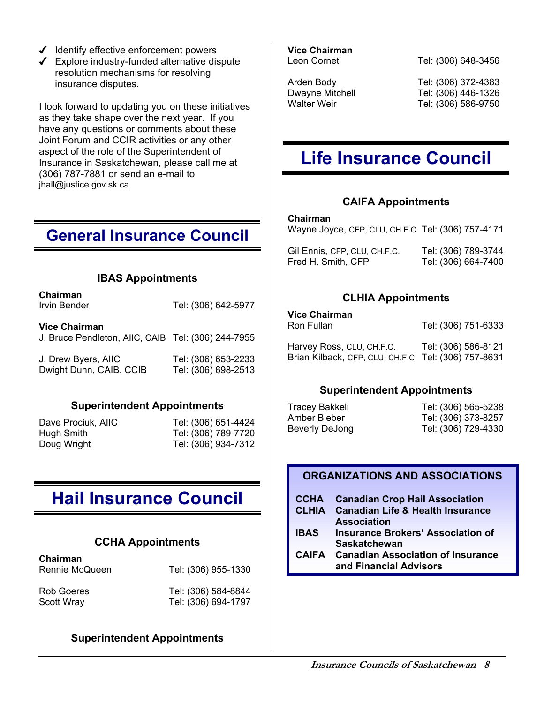- $\checkmark$  Identify effective enforcement powers
- Explore industry-funded alternative dispute resolution mechanisms for resolving insurance disputes.

I look forward to updating you on these initiatives as they take shape over the next year. If you have any questions or comments about these Joint Forum and CCIR activities or any other aspect of the role of the Superintendent of Insurance in Saskatchewan, please call me at (306) 787-7881 or send an e-mail to jhall@justice.gov.sk.ca

### **General Insurance Council**

#### **IBAS Appointments**

| Chairman<br>Irvin Bender                                                   | Tel: (306) 642-5977                        |
|----------------------------------------------------------------------------|--------------------------------------------|
| <b>Vice Chairman</b><br>J. Bruce Pendleton, AIIC, CAIB Tel: (306) 244-7955 |                                            |
| J. Drew Byers, AIIC<br>Dwight Dunn, CAIB, CCIB                             | Tel: (306) 653-2233<br>Tel: (306) 698-2513 |

#### **Superintendent Appointments**

Dave Prociuk, AIIC Tel: (306) 651-4424 Hugh Smith Tel: (306) 789-7720 Doug Wright Tel: (306) 934-7312

# **Hail Insurance Council**

#### **CCHA Appointments**

| Chairman<br>Rennie McQueen | Tel: (306) 955-1330 |
|----------------------------|---------------------|
| Rob Goeres                 | Tel: (306) 584-8844 |
| <b>Scott Wray</b>          | Tel: (306) 694-1797 |

#### **Superintendent Appointments**

**Vice Chairman**

Leon Cornet Tel: (306) 648-3456

Arden Body Tel: (306) 372-4383 Dwayne Mitchell Tel: (306) 446-1326 Walter Weir **Tel:** (306) 586-9750

# **Life Insurance Council**

#### **CAIFA Appointments**

#### **Chairman**

Wayne Joyce, CFP, CLU, CH.F.C. Tel: (306) 757-4171

| Gil Ennis, CFP, CLU, CH.F.C. | Tel: (306) 789-3744 |
|------------------------------|---------------------|
| Fred H. Smith, CFP           | Tel: (306) 664-7400 |

#### **CLHIA Appointments**

#### **Vice Chairman**

Ron Fullan Tel: (306) 751-6333

Harvey Ross, CLU, CH.F.C. Tel: (306) 586-8121 Brian Kilback, CFP, CLU, CH.F.C. Tel: (306) 757-8631

#### **Superintendent Appointments**

Tracey Bakkeli Tel: (306) 565-5238 Amber Bieber Tel: (306) 373-8257 Beverly DeJong Tel: (306) 729-4330

#### **ORGANIZATIONS AND ASSOCIATIONS**

|             | <b>CCHA</b> Canadian Crop Hail Association    |
|-------------|-----------------------------------------------|
|             | <b>CLHIA</b> Canadian Life & Health Insurance |
|             | <b>Association</b>                            |
| <b>IBAS</b> | <b>Insurance Brokers' Association of</b>      |
|             | <b>Saskatchewan</b>                           |

**CAIFA Canadian Association of Insurance and Financial Advisors**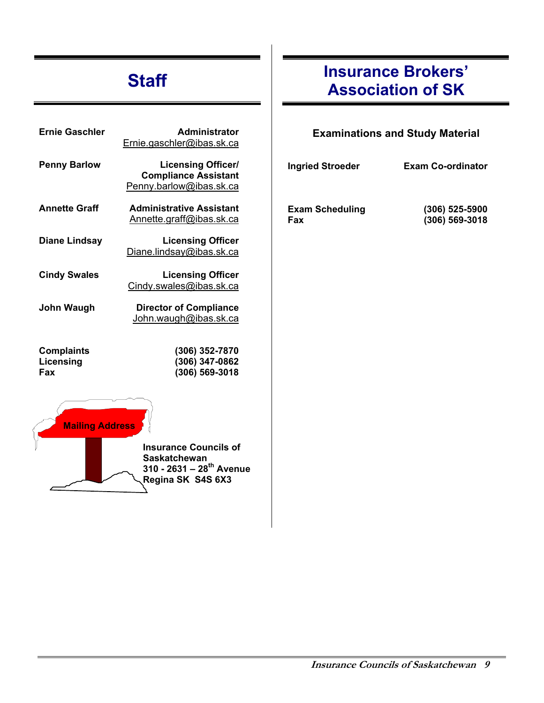# **Staff**

| <b>Ernie Gaschler</b>                 | <b>Administrator</b><br>Ernie.gaschler@ibas.sk.ca                                                                |
|---------------------------------------|------------------------------------------------------------------------------------------------------------------|
| <b>Penny Barlow</b>                   | <b>Licensing Officer/</b><br><b>Compliance Assistant</b><br>Penny.barlow@ibas.sk.ca                              |
| <b>Annette Graff</b>                  | <b>Administrative Assistant</b><br>Annette.graff@ibas.sk.ca                                                      |
| <b>Diane Lindsay</b>                  | <b>Licensing Officer</b><br>Diane.lindsay@ibas.sk.ca                                                             |
| <b>Cindy Swales</b>                   | <b>Licensing Officer</b><br>Cindy.swales@ibas.sk.ca                                                              |
| John Waugh                            | <b>Director of Compliance</b><br>John.waugh@ibas.sk.ca                                                           |
| <b>Complaints</b><br>Licensing<br>Fax | (306) 352-7870<br>(306) 347-0862<br>(306) 569-3018                                                               |
| <b>Mailing Address</b>                |                                                                                                                  |
|                                       | <b>Insurance Councils of</b><br><b>Saskatchewan</b><br>310 - 2631 – 28 <sup>th</sup> Avenue<br>Regina SK S4S 6X3 |

# **Insurance Brokers' Association of SK**

#### **Examinations and Study Material**

| <b>Ingried Stroeder</b>       | <b>Exam Co-ordinator</b>             |
|-------------------------------|--------------------------------------|
| <b>Exam Scheduling</b><br>Fax | $(306)$ 525-5900<br>$(306)$ 569-3018 |
|                               |                                      |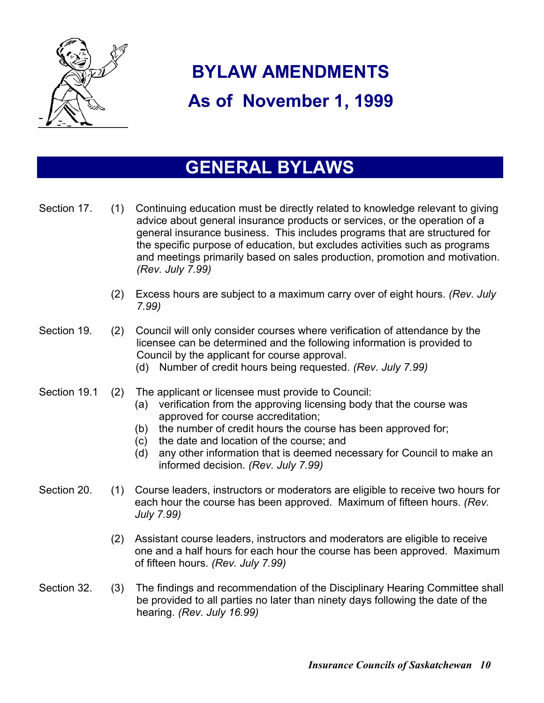

# **BYLAW AMENDMENTS As of November 1, 1999**

# **GENERAL BYLAWS**

| Section 17.  | (1) | Continuing education must be directly related to knowledge relevant to giving<br>advice about general insurance products or services, or the operation of a<br>general insurance business. This includes programs that are structured for<br>the specific purpose of education, but excludes activities such as programs<br>and meetings primarily based on sales production, promotion and motivation.<br>(Rev. July 7.99) |
|--------------|-----|-----------------------------------------------------------------------------------------------------------------------------------------------------------------------------------------------------------------------------------------------------------------------------------------------------------------------------------------------------------------------------------------------------------------------------|
|              | (2) | Excess hours are subject to a maximum carry over of eight hours. (Rev. July<br>7.99                                                                                                                                                                                                                                                                                                                                         |
| Section 19.  | (2) | Council will only consider courses where verification of attendance by the<br>licensee can be determined and the following information is provided to<br>Council by the applicant for course approval.<br>Number of credit hours being requested. (Rev. July 7.99)<br>(d)                                                                                                                                                   |
| Section 19.1 | (2) | The applicant or licensee must provide to Council:<br>verification from the approving licensing body that the course was<br>(a)<br>approved for course accreditation;<br>the number of credit hours the course has been approved for;<br>(b)<br>the date and location of the course; and<br>(c)<br>any other information that is deemed necessary for Council to make an<br>(d)<br>informed decision. (Rev. July 7.99)      |
| Section 20.  | (1) | Course leaders, instructors or moderators are eligible to receive two hours for<br>each hour the course has been approved. Maximum of fifteen hours. (Rev.<br>July 7.99)                                                                                                                                                                                                                                                    |
|              | (2) | Assistant course leaders, instructors and moderators are eligible to receive<br>one and a half hours for each hour the course has been approved. Maximum<br>of fifteen hours. (Rev. July 7.99)                                                                                                                                                                                                                              |
| Section 32.  | (3) | The findings and recommendation of the Disciplinary Hearing Committee shall<br>be provided to all parties no later than ninety days following the date of the<br>hearing. (Rev. July 16.99)                                                                                                                                                                                                                                 |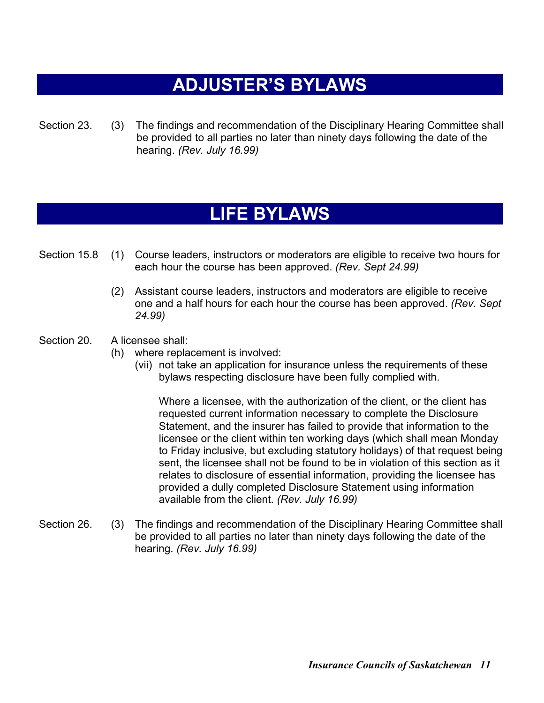# **ADJUSTER'S BYLAWS**

Section 23. (3) The findings and recommendation of the Disciplinary Hearing Committee shall be provided to all parties no later than ninety days following the date of the hearing. *(Rev. July 16.99)* 

# **LIFE BYLAWS**

- Section 15.8 (1) Course leaders, instructors or moderators are eligible to receive two hours for each hour the course has been approved. *(Rev. Sept 24.99)*
	- (2) Assistant course leaders, instructors and moderators are eligible to receive one and a half hours for each hour the course has been approved. *(Rev. Sept 24.99)*
- Section 20. A licensee shall:
	- (h) where replacement is involved:
		- (vii) not take an application for insurance unless the requirements of these bylaws respecting disclosure have been fully complied with.

 Where a licensee, with the authorization of the client, or the client has requested current information necessary to complete the Disclosure Statement, and the insurer has failed to provide that information to the licensee or the client within ten working days (which shall mean Monday to Friday inclusive, but excluding statutory holidays) of that request being sent, the licensee shall not be found to be in violation of this section as it relates to disclosure of essential information, providing the licensee has provided a dully completed Disclosure Statement using information available from the client. *(Rev. July 16.99)* 

Section 26. (3) The findings and recommendation of the Disciplinary Hearing Committee shall be provided to all parties no later than ninety days following the date of the hearing. *(Rev. July 16.99)*